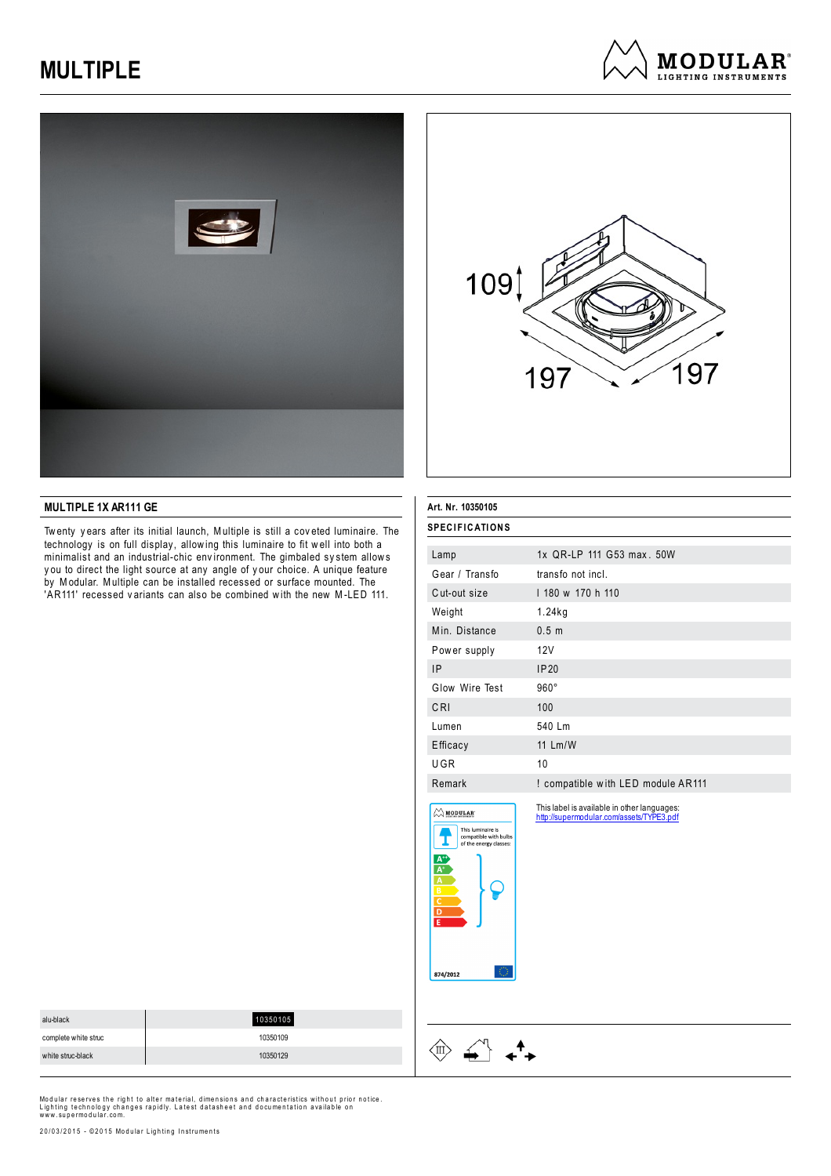





### **MULTIPLE 1X AR111 GE**

Tw enty y ears after its initial launch, Multiple is still a cov eted luminaire. The technology is on full display, allowing this luminaire to fit well into both a minimalist and an industrial-chic env ironment. The gimbaled sy stem allow s y ou to direct the light source at any angle of y our choice. A unique feature by Modular. Multiple can be installed recessed or surface mounted. The 'AR111' recessed variants can also be combined with the new M-LED 111.

| <b>SPECIFICATIONS</b><br>Lamp<br>Gear / Transfo<br>Cut-out size                                                                                                                                                                | 1x QR-LP 111 G53 max, 50W<br>transfo not incl.<br>1 180 w 170 h 110<br>1.24kg           |  |
|--------------------------------------------------------------------------------------------------------------------------------------------------------------------------------------------------------------------------------|-----------------------------------------------------------------------------------------|--|
|                                                                                                                                                                                                                                |                                                                                         |  |
|                                                                                                                                                                                                                                |                                                                                         |  |
|                                                                                                                                                                                                                                |                                                                                         |  |
|                                                                                                                                                                                                                                |                                                                                         |  |
| Weight                                                                                                                                                                                                                         |                                                                                         |  |
| Min. Distance                                                                                                                                                                                                                  | 0.5 <sub>m</sub>                                                                        |  |
| Power supply                                                                                                                                                                                                                   | 12V                                                                                     |  |
| IP                                                                                                                                                                                                                             | IP20                                                                                    |  |
| Glow Wire Test                                                                                                                                                                                                                 | $960^\circ$                                                                             |  |
| CRI                                                                                                                                                                                                                            | 100                                                                                     |  |
| Lumen                                                                                                                                                                                                                          | 540 Lm                                                                                  |  |
| Efficacy                                                                                                                                                                                                                       | 11 Lm/W                                                                                 |  |
| UGR                                                                                                                                                                                                                            | 10                                                                                      |  |
| Remark                                                                                                                                                                                                                         | ! compatible with LED module AR111                                                      |  |
| $\left\langle \right\rangle$ modular<br>This luminaire is<br>compatible with bulbs<br>of the energy classes:<br>$\begin{array}{c}\nA^+ \\ A^+ \\ \hline\nA \\ B \\ C\n\end{array}$<br>$\overline{\mathbf{D}}$<br>E<br>874/2012 | This label is available in other languages:<br>http://supermodular.com/assets/TYPE3.pdf |  |

| alu-black            | 10350105 |
|----------------------|----------|
| complete white struc | 10350109 |
| white struc-black    | 10350129 |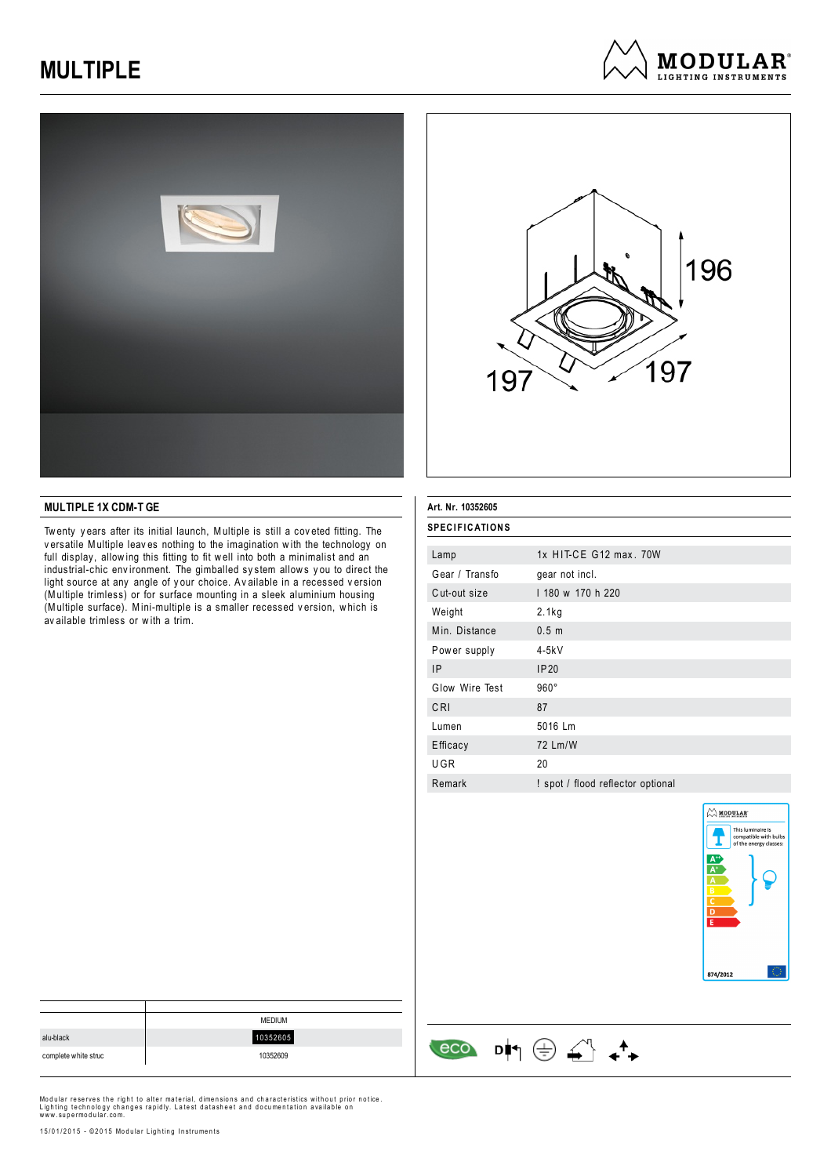





## **MULTIPLE 1X CDM-T GE**

Tw enty y ears after its initial launch, Multiple is still a cov eted fitting. The v ersatile Multiple leav es nothing to the imagination w ith the technology on full display, allowing this fitting to fit well into both a minimalist and an industrial-chic env ironment. The gimballed sy stem allow s y ou to direct the light source at any angle of y our choice. Av ailable in a recessed v ersion (Multiple trimless) or for surface mounting in a sleek aluminium housing (Multiple surface). Mini-multiple is a smaller recessed v ersion, w hich is av ailable trimless or w ith a trim.

#### **Art. Nr. 10352605**

| <b>SPECIFICATIONS</b>             |  |  |
|-----------------------------------|--|--|
| 1x HIT-CE G12 max, 70W            |  |  |
| gear not incl.                    |  |  |
| 1 180 w 170 h 220                 |  |  |
| 2.1kg                             |  |  |
| 0.5 <sub>m</sub>                  |  |  |
| $4-5kV$                           |  |  |
| IP <sub>20</sub>                  |  |  |
| $960^\circ$                       |  |  |
| 87                                |  |  |
| 5016 Lm                           |  |  |
| 72 Lm/W                           |  |  |
| 20                                |  |  |
| ! spot / flood reflector optional |  |  |
|                                   |  |  |



|                      | <b>MEDIUM</b> |
|----------------------|---------------|
| alu-black            | 10352605      |
| complete white struc | 10352609      |

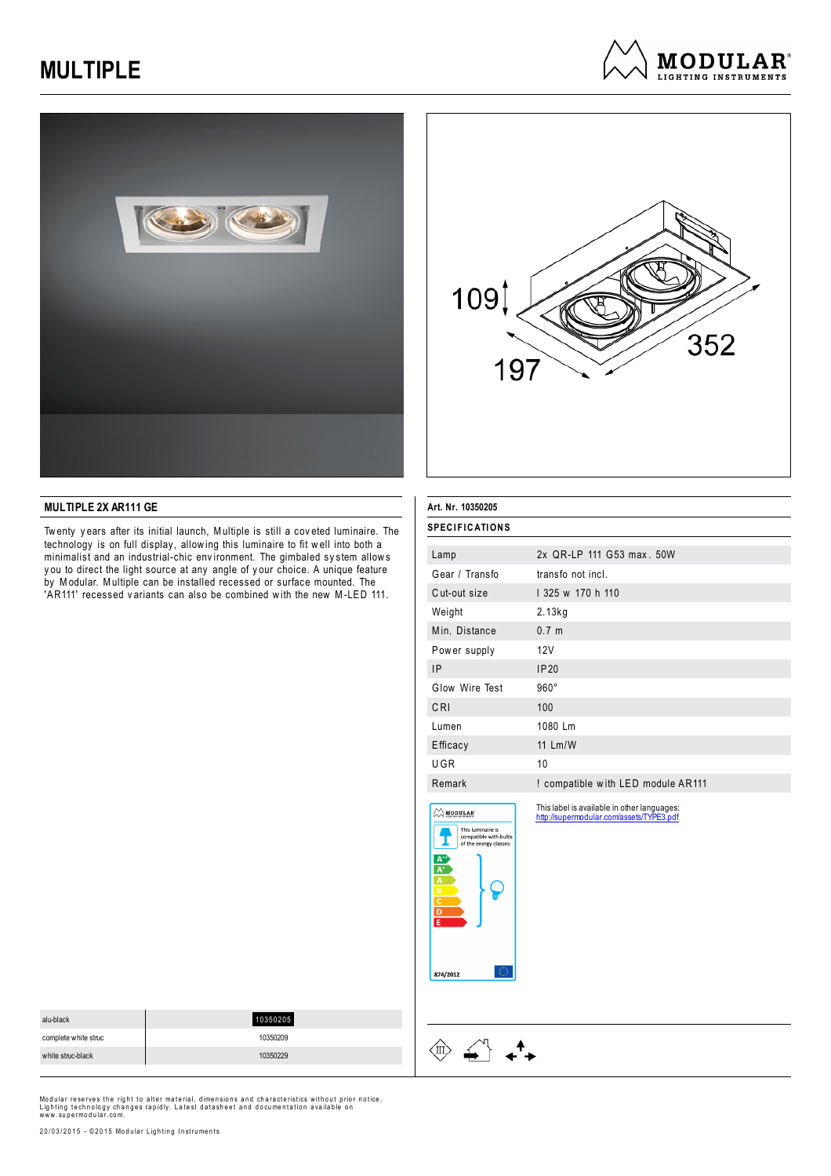





### **MULTIPLE 2X AR111 GE**

Tw enty y ears after its initial launch, Multiple is still a cov eted luminaire. The technology is on full display, allowing this luminaire to fit well into both a minimalist and an industrial-chic env ironment. The gimbaled sy stem allow s y ou to direct the light source at any angle of y our choice. A unique feature by Modular. Multiple can be installed recessed or surface mounted. The 'AR111' recessed variants can also be combined with the new M-LED 111.

| Art. Nr. 10350205                                                                                                                                                                  |                                                                                         |  |
|------------------------------------------------------------------------------------------------------------------------------------------------------------------------------------|-----------------------------------------------------------------------------------------|--|
| <b>SPECIFICATIONS</b>                                                                                                                                                              |                                                                                         |  |
| Lamp                                                                                                                                                                               | 2x QR-LP 111 G53 max. 50W                                                               |  |
| Gear / Transfo                                                                                                                                                                     | transfo not incl.                                                                       |  |
| Cut-out size                                                                                                                                                                       | 1 325 w 170 h 110                                                                       |  |
| Weight                                                                                                                                                                             | 2.13kg                                                                                  |  |
| Min. Distance                                                                                                                                                                      | 0.7 <sub>m</sub>                                                                        |  |
| Power supply                                                                                                                                                                       | 12V                                                                                     |  |
| IP                                                                                                                                                                                 | <b>IP20</b>                                                                             |  |
| Glow Wire Test                                                                                                                                                                     | $960^\circ$                                                                             |  |
| CRI                                                                                                                                                                                | 100                                                                                     |  |
| Lumen                                                                                                                                                                              | 1080 Lm                                                                                 |  |
| Efficacy                                                                                                                                                                           | 11 Lm/W                                                                                 |  |
| UGR                                                                                                                                                                                | 10                                                                                      |  |
| Remark                                                                                                                                                                             | ! compatible with LED module AR111                                                      |  |
| $\left\langle \right\rangle$ MODULAR<br>This luminaire is<br>compatible with bulbs<br>of the energy classes:<br>$\frac{A^*}{A^*}$<br>$\frac{A}{B}$<br>$\overline{\mathsf{D}}$<br>Έ | This label is available in other languages:<br>http://supermodular.com/assets/TYPE3.pdf |  |
| 874/2012                                                                                                                                                                           |                                                                                         |  |

| alu-black            | 10350205 |
|----------------------|----------|
| complete white struc | 10350209 |
| white struc-black    | 10350229 |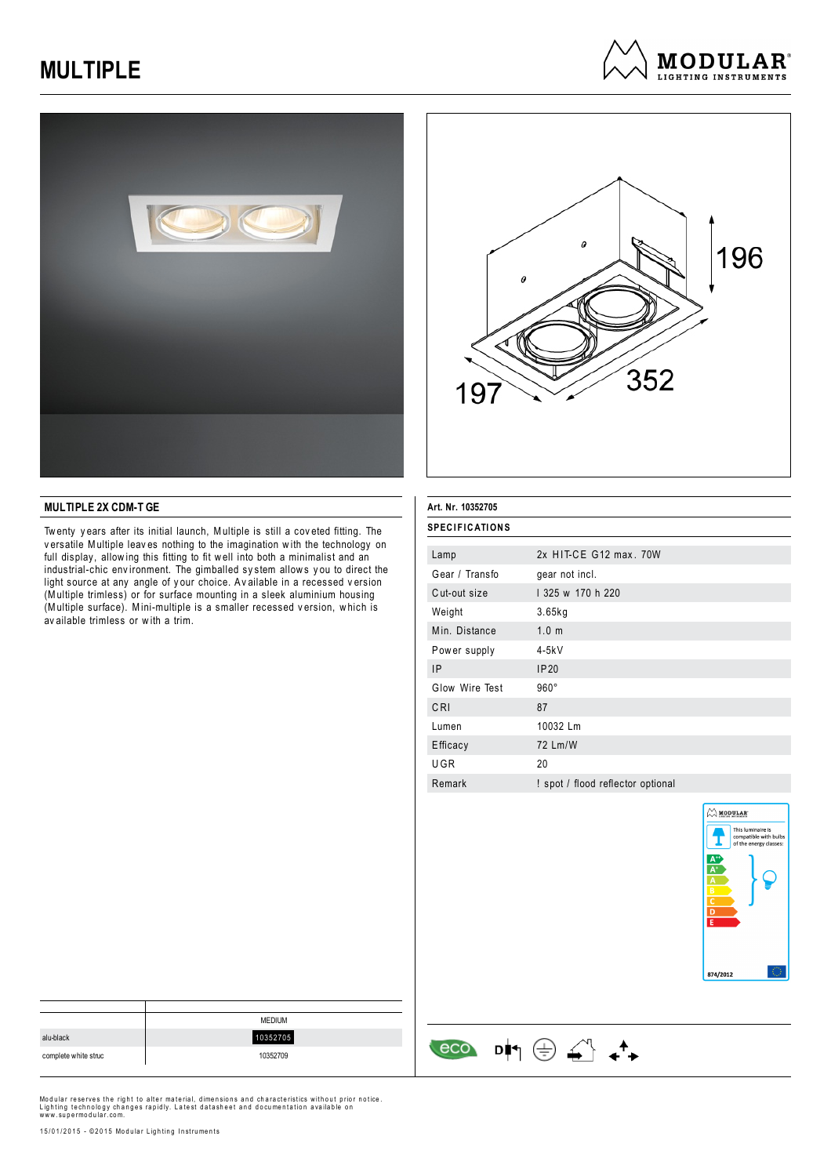





## **MULTIPLE 2X CDM-T GE**

Tw enty y ears after its initial launch, Multiple is still a cov eted fitting. The v ersatile Multiple leav es nothing to the imagination w ith the technology on full display, allowing this fitting to fit well into both a minimalist and an industrial-chic env ironment. The gimballed sy stem allow s y ou to direct the light source at any angle of y our choice. Av ailable in a recessed v ersion (Multiple trimless) or for surface mounting in a sleek aluminium housing (Multiple surface). Mini-multiple is a smaller recessed v ersion, w hich is av ailable trimless or w ith a trim.

#### **Art. Nr. 10352705**

| SPECIFICATIONS |                                   |
|----------------|-----------------------------------|
|                |                                   |
| Lamp           | 2x HIT-CE G12 max, 70W            |
| Gear / Transfo | gear not incl.                    |
| Cut-out size   | 1 325 w 170 h 220                 |
| Weight         | 3.65kg                            |
| Min. Distance  | 1.0 <sub>m</sub>                  |
| Power supply   | $4-5kV$                           |
| 1P             | IP20                              |
| Glow Wire Test | $960^\circ$                       |
| CRI            | 87                                |
| Lumen          | 10032 Lm                          |
| Efficacy       | 72 Lm/W                           |
| UGR            | 20                                |
| Remark         | ! spot / flood reflector optional |
|                |                                   |

 $\begin{array}{ccc} & & & \\ \hline & & & \\ \hline & & & \\ \hline & & & & \\ \hline & & & & \\ \hline & & & & \\ \hline & & & & \\ \hline & & & & \\ \hline & & & & \\ \hline & & & & \\ \hline & & & & \\ \hline & & & & \\ \hline & & & & \\ \hline & & & & \\ \hline & & & & \\ \hline & & & & \\ \hline & & & & \\ \hline & & & & \\ \hline & & & & & \\ \hline & & & & & \\ \hline & & & & & \\ \hline & & & & & \\ \hline & & & & & \\ \hline & & & & & \\ \hline & & & & & \\ \hline & & & & & \\ \hline$ 



|                      | <b>MEDIUM</b> |
|----------------------|---------------|
| alu-black            | 10352705      |
| complete white struc | 10352709      |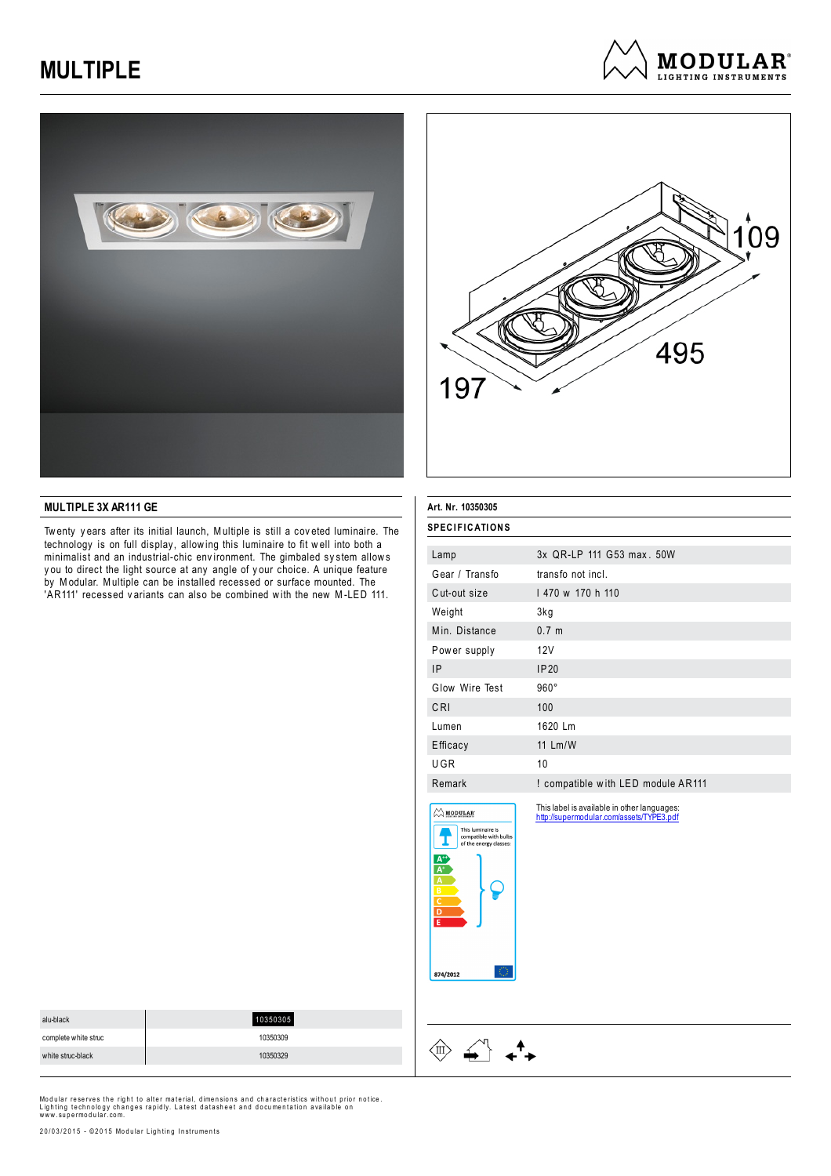





### **MULTIPLE 3X AR111 GE**

Tw enty y ears after its initial launch, Multiple is still a cov eted luminaire. The technology is on full display, allowing this luminaire to fit well into both a minimalist and an industrial-chic environment. The gimbaled system allows y ou to direct the light source at any angle of y our choice. A unique feature by Modular. Multiple can be installed recessed or surface mounted. The 'AR111' recessed variants can also be combined with the new M-LED 111.

| Art. Nr. 10350305                                                                                                                                |                                                                                         |
|--------------------------------------------------------------------------------------------------------------------------------------------------|-----------------------------------------------------------------------------------------|
| <b>SPECIFICATIONS</b>                                                                                                                            |                                                                                         |
| Lamp                                                                                                                                             | 3x OR-LP 111 G53 max, 50W                                                               |
| Gear / Transfo                                                                                                                                   | transfo not incl.                                                                       |
| Cut-out size                                                                                                                                     | 1470 w 170 h 110                                                                        |
| Weight                                                                                                                                           | 3kg                                                                                     |
| Min. Distance                                                                                                                                    | 0.7 <sub>m</sub>                                                                        |
| Power supply                                                                                                                                     | 12V                                                                                     |
| <b>IP</b>                                                                                                                                        | IP20                                                                                    |
| Glow Wire Test                                                                                                                                   | $960^\circ$                                                                             |
| CRI                                                                                                                                              | 100                                                                                     |
| Lumen                                                                                                                                            | 1620 Lm                                                                                 |
| Efficacy                                                                                                                                         | 11 Lm/W                                                                                 |
| UGR                                                                                                                                              | 10                                                                                      |
| Remark                                                                                                                                           | ! compatible with LED module AR111                                                      |
| $\bigcirc$ MODULAR<br>This luminaire is<br>compatible with bulbs<br>of the energy classes:<br>$\frac{A^*}{A^*}$ $\frac{B}{C}$ $\frac{C}{D}$<br>Έ | This label is available in other languages:<br>http://supermodular.com/assets/TYPE3.pdf |

874/2012

 $\langle \n \mathbb{I} \rangle$ 

 $\begin{picture}(120,15) \put(0,0){\vector(1,0){15}} \put(15,0){\vector(1,0){15}} \put(15,0){\vector(1,0){15}} \put(15,0){\vector(1,0){15}} \put(15,0){\vector(1,0){15}} \put(15,0){\vector(1,0){15}} \put(15,0){\vector(1,0){15}} \put(15,0){\vector(1,0){15}} \put(15,0){\vector(1,0){15}} \put(15,0){\vector(1,0){15}} \put(15,0){\vector(1,0){15}} \put(15,0){\vector($ 

 $\star^4$ 

| alu-black            | 10350305 |
|----------------------|----------|
| complete white struc | 10350309 |
| white struc-black    | 10350329 |

Modular reserves the right to alter material, dimensions and characteristics without prior notice.<br>Lighting technology changes rapidly. Latest datasheet and documentation available on<br>www.supermodular.com.

20/03/2015 - ©2015 Modular Lighting Instruments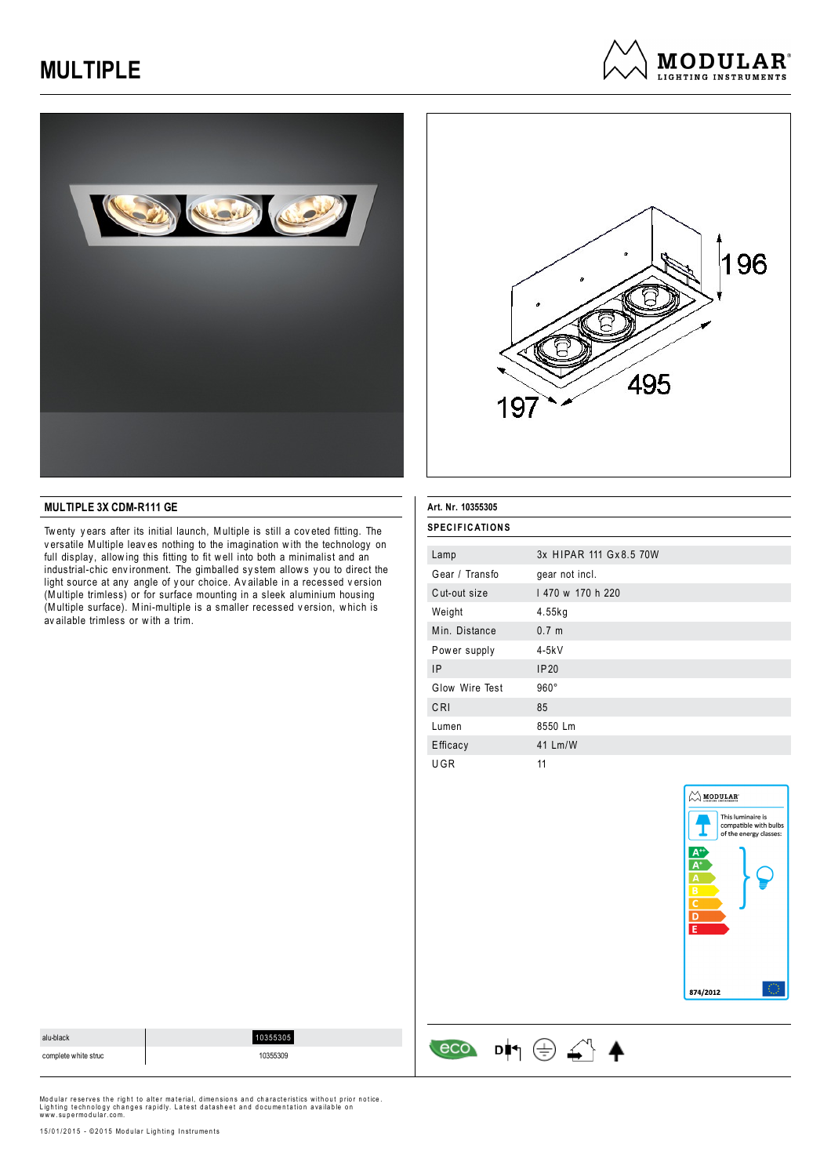





## **MULTIPLE 3X CDM-R111 GE**

Tw enty y ears after its initial launch, Multiple is still a cov eted fitting. The v ersatile Multiple leav es nothing to the imagination w ith the technology on full display, allowing this fitting to fit well into both a minimalist and an industrial-chic env ironment. The gimballed sy stem allow s y ou to direct the light source at any angle of y our choice. Av ailable in a recessed v ersion (Multiple trimless) or for surface mounting in a sleek aluminium housing (Multiple surface). Mini-multiple is a smaller recessed v ersion, w hich is av ailable trimless or w ith a trim.

#### **Art. Nr. 10355305**

| <b>SPECIFICATIONS</b> |                         |  |
|-----------------------|-------------------------|--|
| Lamp                  | 3x HIPAR 111 Gx 8.5 70W |  |
| Gear / Transfo        | gear not incl.          |  |
| Cut-out size          | 1470 w 170 h 220        |  |
| Weight                | 4.55kg                  |  |
| Min. Distance         | 0.7 <sub>m</sub>        |  |
| Power supply          | 4-5kV                   |  |
| <b>IP</b>             | IP20                    |  |
| Glow Wire Test        | $960^\circ$             |  |
| CRI                   | 85                      |  |
| Lumen                 | 8550 Lm                 |  |
| Efficacy              | 41 Lm/W                 |  |
| UGR                   | 11                      |  |



| alu-black            | 55305    | ᄉ         |
|----------------------|----------|-----------|
| complete white struc | 10355309 | n l+<br>ー |